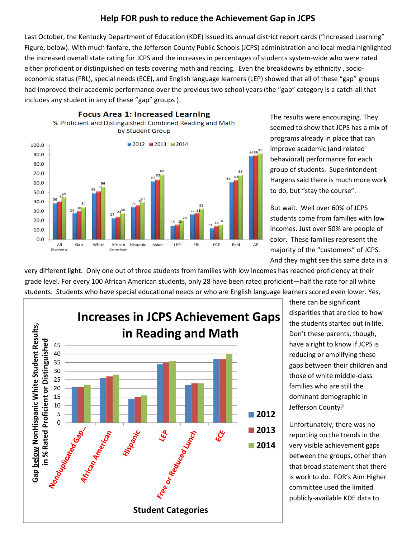## Help FOR push to reduce the Achievement Gap in JCPS

Last October, the Kentucky Department of Education (KDE) issued its annual district report cards ("Increased Learning" Figure, below). With much fanfare, the Jefferson County Public Schools (JCPS) administration and local media highlighted the increased overall state rating for JCPS and the increases in percentages of students system-wide who were rated either proficient or distinguished on tests covering math and reading. Even the breakdowns by ethnicity , socioeconomic status (FRL), special needs (ECE), and English language learners (LEP) showed that all of these "gap" groups had improved their academic performance over the previous two school years (the "gap" category is a catch-all that includes any student in any of these "gap" groups ).



The results were encouraging. They seemed to show that JCPS has a mix of programs already in place that can improve academic (and related behavioral) performance for each group of students. Superintendent Hargens said there is much more work to do, but "stay the course".

But wait. Well over 60% of JCPS students come from families with low incomes. Just over 50% are people of color. These families represent the majority of the "customers" of JCPS. And they might see this same data in a

very different light. Only one out of three students from families with low incomes has reached proficiency at their grade level. For every 100 African American students, only 28 have been rated proficient—half the rate for all white students. Students who have special educational needs or who are English language learners scored even lower. Yes,



there can be significant disparities that are tied to how the students started out in life. Don't these parents, though, have a right to know if JCPS is reducing or amplifying these gaps between their children and those of white middle-class families who are still the dominant demographic in Jefferson County?

Unfortunately, there was no reporting on the trends in the very visible achievement gaps between the groups, other than that broad statement that there is work to do. FOR's Aim Higher committee used the limited publicly-available KDE data to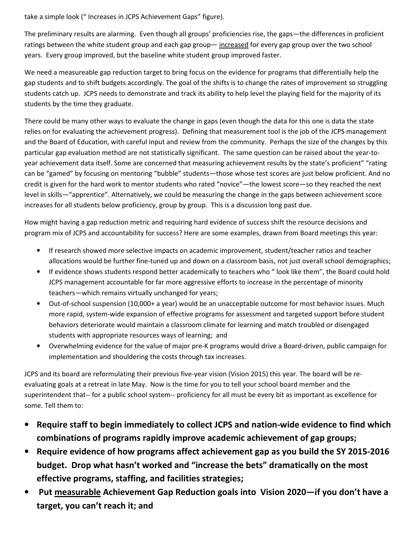take a simple look (" Increases in JCPS Achievement Gaps" figure).

The preliminary results are alarming. Even though all groups' proficiencies rise, the gaps—the differences in proficient ratings between the white student group and each gap group— increased for every gap group over the two school years. Every group improved, but the baseline white student group improved faster.

We need a measureable gap reduction target to bring focus on the evidence for programs that differentially help the gap students and to shift budgets accordingly. The goal of the shifts is to change the rates of improvement so struggling students catch up. JCPS needs to demonstrate and track its ability to help level the playing field for the majority of its students by the time they graduate.

There could be many other ways to evaluate the change in gaps (even though the data for this one is data the state relies on for evaluating the achievement progress). Defining that measurement tool is the job of the JCPS management and the Board of Education, with careful input and review from the community. Perhaps the size of the changes by this particular gap evaluation method are not statistically significant. The same question can be raised about the year-toyear achievement data itself. Some are concerned that measuring achievement results by the state's proficient" "rating can be "gamed" by focusing on mentoring "bubble" students—those whose test scores are just below proficient. And no credit is given for the hard work to mentor students who rated "novice"—the lowest score—so they reached the next level in skills—"apprentice". Alternatively, we could be measuring the change in the gaps between achievement score increases for all students below proficiency, group by group. This is a discussion long past due.

How might having a gap reduction metric and requiring hard evidence of success shift the resource decisions and program mix of JCPS and accountability for success? Here are some examples, drawn from Board meetings this year:

- If research showed more selective impacts on academic improvement, student/teacher ratios and teacher allocations would be further fine-tuned up and down on a classroom basis, not just overall school demographics;
- If evidence shows students respond better academically to teachers who " look like them", the Board could hold JCPS management accountable for far more aggressive efforts to increase in the percentage of minority teachers—which remains virtually unchanged for years;
- Out-of-school suspension (10,000+ a year) would be an unacceptable outcome for most behavior issues. Much more rapid, system-wide expansion of effective programs for assessment and targeted support before student behaviors deteriorate would maintain a classroom climate for learning and match troubled or disengaged students with appropriate resources ways of learning; and
- Overwhelming evidence for the value of major pre-K programs would drive a Board-driven, public campaign for implementation and shouldering the costs through tax increases.

JCPS and its board are reformulating their previous five-year vision (Vision 2015) this year. The board will be reevaluating goals at a retreat in late May. Now is the time for you to tell your school board member and the superintendent that-- for a public school system-- proficiency for all must be every bit as important as excellence for some. Tell them to:

- Require staff to begin immediately to collect JCPS and nation-wide evidence to find which combinations of programs rapidly improve academic achievement of gap groups;
- Require evidence of how programs affect achievement gap as you build the SY 2015-2016 budget. Drop what hasn't worked and "increase the bets" dramatically on the most effective programs, staffing, and facilities strategies;
- Put measurable Achievement Gap Reduction goals into Vision 2020—if you don't have a target, you can't reach it; and